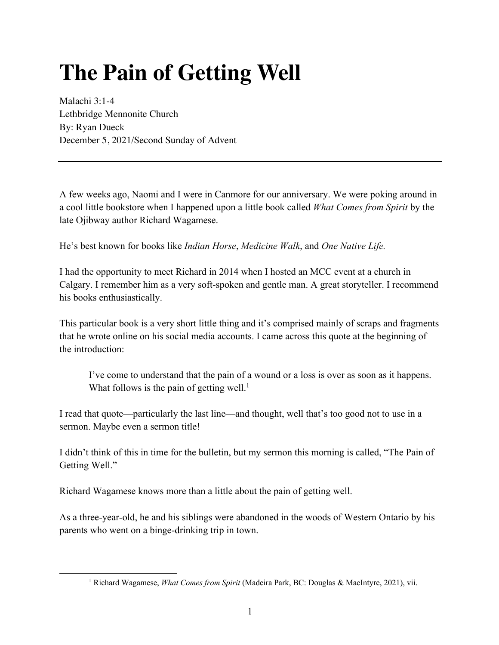## **The Pain of Getting Well**

Malachi 3:1-4 Lethbridge Mennonite Church By: Ryan Dueck December 5, 2021/Second Sunday of Advent

A few weeks ago, Naomi and I were in Canmore for our anniversary. We were poking around in a cool little bookstore when I happened upon a little book called *What Comes from Spirit* by the late Ojibway author Richard Wagamese.

He's best known for books like *Indian Horse*, *Medicine Walk*, and *One Native Life.* 

I had the opportunity to meet Richard in 2014 when I hosted an MCC event at a church in Calgary. I remember him as a very soft-spoken and gentle man. A great storyteller. I recommend his books enthusiastically.

This particular book is a very short little thing and it's comprised mainly of scraps and fragments that he wrote online on his social media accounts. I came across this quote at the beginning of the introduction:

I've come to understand that the pain of a wound or a loss is over as soon as it happens. What follows is the pain of getting well.<sup>1</sup>

I read that quote—particularly the last line—and thought, well that's too good not to use in a sermon. Maybe even a sermon title!

I didn't think of this in time for the bulletin, but my sermon this morning is called, "The Pain of Getting Well."

Richard Wagamese knows more than a little about the pain of getting well.

As a three-year-old, he and his siblings were abandoned in the woods of Western Ontario by his parents who went on a binge-drinking trip in town.

<sup>1</sup> Richard Wagamese, *What Comes from Spirit* (Madeira Park, BC: Douglas & MacIntyre, 2021), vii.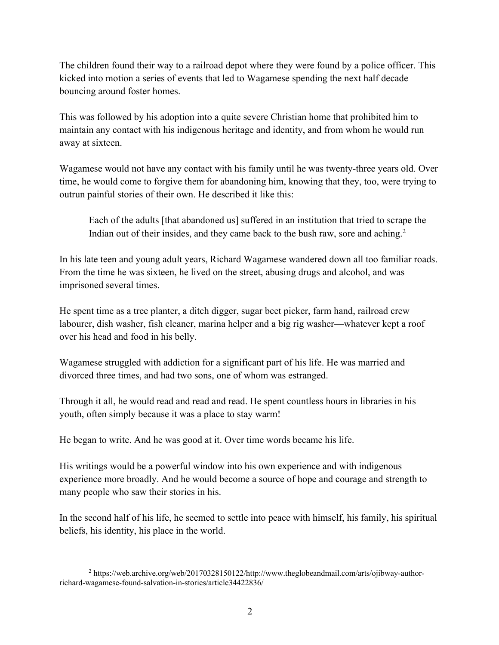The children found their way to a railroad depot where they were found by a police officer. This kicked into motion a series of events that led to Wagamese spending the next half decade bouncing around foster homes.

This was followed by his adoption into a quite severe Christian home that prohibited him to maintain any contact with his indigenous heritage and identity, and from whom he would run away at sixteen.

Wagamese would not have any contact with his family until he was twenty-three years old. Over time, he would come to forgive them for abandoning him, knowing that they, too, were trying to outrun painful stories of their own. He described it like this:

Each of the adults [that abandoned us] suffered in an institution that tried to scrape the Indian out of their insides, and they came back to the bush raw, sore and aching.<sup>2</sup>

In his late teen and young adult years, Richard Wagamese wandered down all too familiar roads. From the time he was sixteen, he lived on the street, abusing drugs and alcohol, and was imprisoned several times.

He spent time as a tree planter, a ditch digger, sugar beet picker, farm hand, railroad crew labourer, dish washer, fish cleaner, marina helper and a big rig washer—whatever kept a roof over his head and food in his belly.

Wagamese struggled with addiction for a significant part of his life. He was married and divorced three times, and had two sons, one of whom was estranged.

Through it all, he would read and read and read. He spent countless hours in libraries in his youth, often simply because it was a place to stay warm!

He began to write. And he was good at it. Over time words became his life.

His writings would be a powerful window into his own experience and with indigenous experience more broadly. And he would become a source of hope and courage and strength to many people who saw their stories in his.

In the second half of his life, he seemed to settle into peace with himself, his family, his spiritual beliefs, his identity, his place in the world.

<sup>&</sup>lt;sup>2</sup> https://web.archive.org/web/20170328150122/http://www.theglobeandmail.com/arts/ojibway-authorrichard-wagamese-found-salvation-in-stories/article34422836/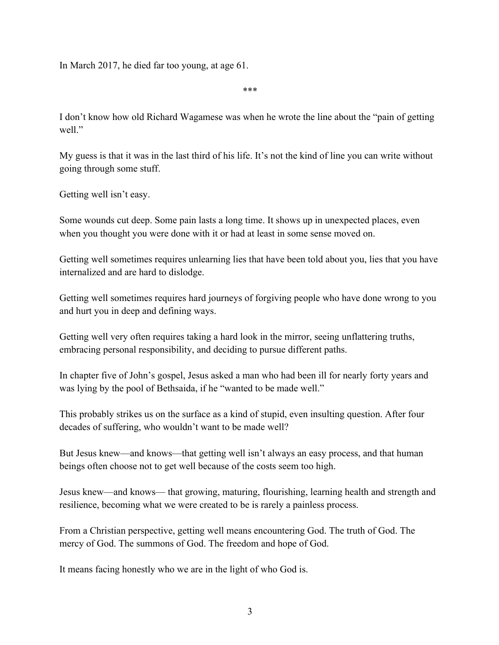In March 2017, he died far too young, at age 61.

\*\*\*

I don't know how old Richard Wagamese was when he wrote the line about the "pain of getting well."

My guess is that it was in the last third of his life. It's not the kind of line you can write without going through some stuff.

Getting well isn't easy.

Some wounds cut deep. Some pain lasts a long time. It shows up in unexpected places, even when you thought you were done with it or had at least in some sense moved on.

Getting well sometimes requires unlearning lies that have been told about you, lies that you have internalized and are hard to dislodge.

Getting well sometimes requires hard journeys of forgiving people who have done wrong to you and hurt you in deep and defining ways.

Getting well very often requires taking a hard look in the mirror, seeing unflattering truths, embracing personal responsibility, and deciding to pursue different paths.

In chapter five of John's gospel, Jesus asked a man who had been ill for nearly forty years and was lying by the pool of Bethsaida, if he "wanted to be made well."

This probably strikes us on the surface as a kind of stupid, even insulting question. After four decades of suffering, who wouldn't want to be made well?

But Jesus knew—and knows—that getting well isn't always an easy process, and that human beings often choose not to get well because of the costs seem too high.

Jesus knew—and knows— that growing, maturing, flourishing, learning health and strength and resilience, becoming what we were created to be is rarely a painless process.

From a Christian perspective, getting well means encountering God. The truth of God. The mercy of God. The summons of God. The freedom and hope of God.

It means facing honestly who we are in the light of who God is.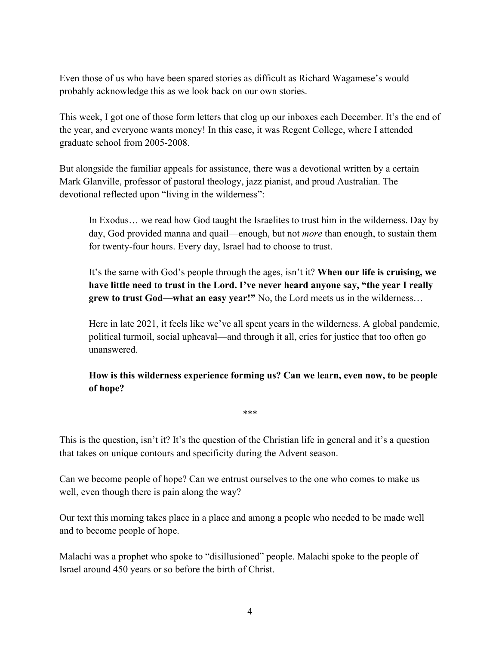Even those of us who have been spared stories as difficult as Richard Wagamese's would probably acknowledge this as we look back on our own stories.

This week, I got one of those form letters that clog up our inboxes each December. It's the end of the year, and everyone wants money! In this case, it was Regent College, where I attended graduate school from 2005-2008.

But alongside the familiar appeals for assistance, there was a devotional written by a certain Mark Glanville, professor of pastoral theology, jazz pianist, and proud Australian. The devotional reflected upon "living in the wilderness":

In Exodus… we read how God taught the Israelites to trust him in the wilderness. Day by day, God provided manna and quail—enough, but not *more* than enough, to sustain them for twenty-four hours. Every day, Israel had to choose to trust.

It's the same with God's people through the ages, isn't it? **When our life is cruising, we have little need to trust in the Lord. I've never heard anyone say, "the year I really grew to trust God—what an easy year!"** No, the Lord meets us in the wilderness…

Here in late 2021, it feels like we've all spent years in the wilderness. A global pandemic, political turmoil, social upheaval—and through it all, cries for justice that too often go unanswered.

**How is this wilderness experience forming us? Can we learn, even now, to be people of hope?**

This is the question, isn't it? It's the question of the Christian life in general and it's a question that takes on unique contours and specificity during the Advent season.

\*\*\*

Can we become people of hope? Can we entrust ourselves to the one who comes to make us well, even though there is pain along the way?

Our text this morning takes place in a place and among a people who needed to be made well and to become people of hope.

Malachi was a prophet who spoke to "disillusioned" people. Malachi spoke to the people of Israel around 450 years or so before the birth of Christ.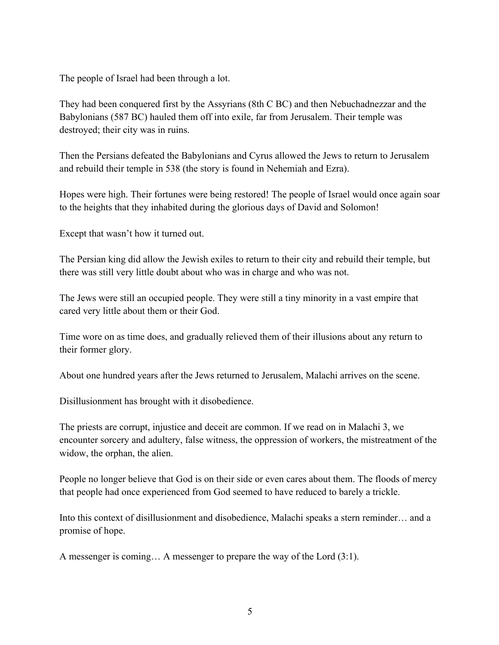The people of Israel had been through a lot.

They had been conquered first by the Assyrians (8th C BC) and then Nebuchadnezzar and the Babylonians (587 BC) hauled them off into exile, far from Jerusalem. Their temple was destroyed; their city was in ruins.

Then the Persians defeated the Babylonians and Cyrus allowed the Jews to return to Jerusalem and rebuild their temple in 538 (the story is found in Nehemiah and Ezra).

Hopes were high. Their fortunes were being restored! The people of Israel would once again soar to the heights that they inhabited during the glorious days of David and Solomon!

Except that wasn't how it turned out.

The Persian king did allow the Jewish exiles to return to their city and rebuild their temple, but there was still very little doubt about who was in charge and who was not.

The Jews were still an occupied people. They were still a tiny minority in a vast empire that cared very little about them or their God.

Time wore on as time does, and gradually relieved them of their illusions about any return to their former glory.

About one hundred years after the Jews returned to Jerusalem, Malachi arrives on the scene.

Disillusionment has brought with it disobedience.

The priests are corrupt, injustice and deceit are common. If we read on in Malachi 3, we encounter sorcery and adultery, false witness, the oppression of workers, the mistreatment of the widow, the orphan, the alien.

People no longer believe that God is on their side or even cares about them. The floods of mercy that people had once experienced from God seemed to have reduced to barely a trickle.

Into this context of disillusionment and disobedience, Malachi speaks a stern reminder… and a promise of hope.

A messenger is coming… A messenger to prepare the way of the Lord (3:1).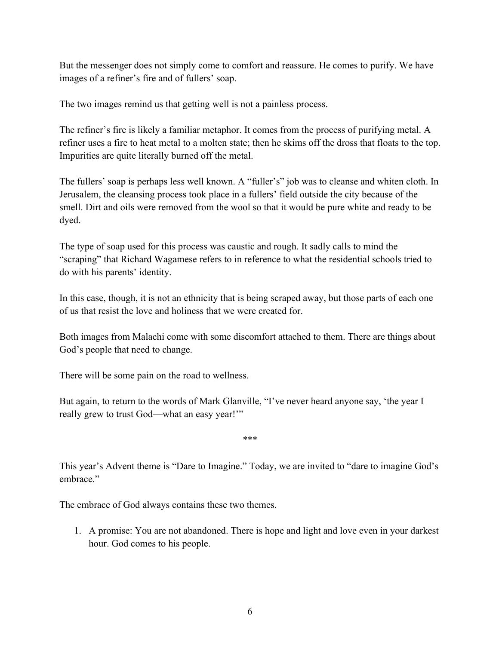But the messenger does not simply come to comfort and reassure. He comes to purify. We have images of a refiner's fire and of fullers' soap.

The two images remind us that getting well is not a painless process.

The refiner's fire is likely a familiar metaphor. It comes from the process of purifying metal. A refiner uses a fire to heat metal to a molten state; then he skims off the dross that floats to the top. Impurities are quite literally burned off the metal.

The fullers' soap is perhaps less well known. A "fuller's" job was to cleanse and whiten cloth. In Jerusalem, the cleansing process took place in a fullers' field outside the city because of the smell. Dirt and oils were removed from the wool so that it would be pure white and ready to be dyed.

The type of soap used for this process was caustic and rough. It sadly calls to mind the "scraping" that Richard Wagamese refers to in reference to what the residential schools tried to do with his parents' identity.

In this case, though, it is not an ethnicity that is being scraped away, but those parts of each one of us that resist the love and holiness that we were created for.

Both images from Malachi come with some discomfort attached to them. There are things about God's people that need to change.

There will be some pain on the road to wellness.

But again, to return to the words of Mark Glanville, "I've never heard anyone say, 'the year I really grew to trust God—what an easy year!'"

\*\*\*

This year's Advent theme is "Dare to Imagine." Today, we are invited to "dare to imagine God's embrace."

The embrace of God always contains these two themes.

1. A promise: You are not abandoned. There is hope and light and love even in your darkest hour. God comes to his people.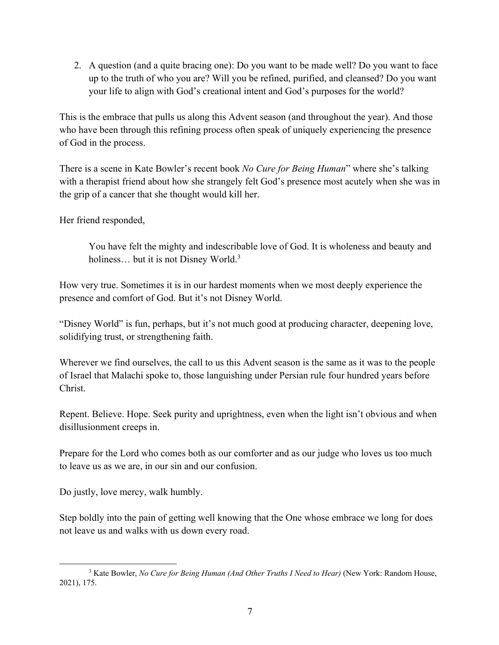2. A question (and a quite bracing one): Do you want to be made well? Do you want to face up to the truth of who you are? Will you be refined, purified, and cleansed? Do you want your life to align with God's creational intent and God's purposes for the world?

This is the embrace that pulls us along this Advent season (and throughout the year). And those who have been through this refining process often speak of uniquely experiencing the presence of God in the process.

There is a scene in Kate Bowler's recent book *No Cure for Being Human*" where she's talking with a therapist friend about how she strangely felt God's presence most acutely when she was in the grip of a cancer that she thought would kill her.

Her friend responded,

You have felt the mighty and indescribable love of God. It is wholeness and beauty and holiness... but it is not Disney World.<sup>3</sup>

How very true. Sometimes it is in our hardest moments when we most deeply experience the presence and comfort of God. But it's not Disney World.

"Disney World" is fun, perhaps, but it's not much good at producing character, deepening love, solidifying trust, or strengthening faith.

Wherever we find ourselves, the call to us this Advent season is the same as it was to the people of Israel that Malachi spoke to, those languishing under Persian rule four hundred years before Christ.

Repent. Believe. Hope. Seek purity and uprightness, even when the light isn't obvious and when disillusionment creeps in.

Prepare for the Lord who comes both as our comforter and as our judge who loves us too much to leave us as we are, in our sin and our confusion.

Do justly, love mercy, walk humbly.

Step boldly into the pain of getting well knowing that the One whose embrace we long for does not leave us and walks with us down every road.

<sup>3</sup> Kate Bowler, *No Cure for Being Human (And Other Truths I Need to Hear)* (New York: Random House, 2021), 175.